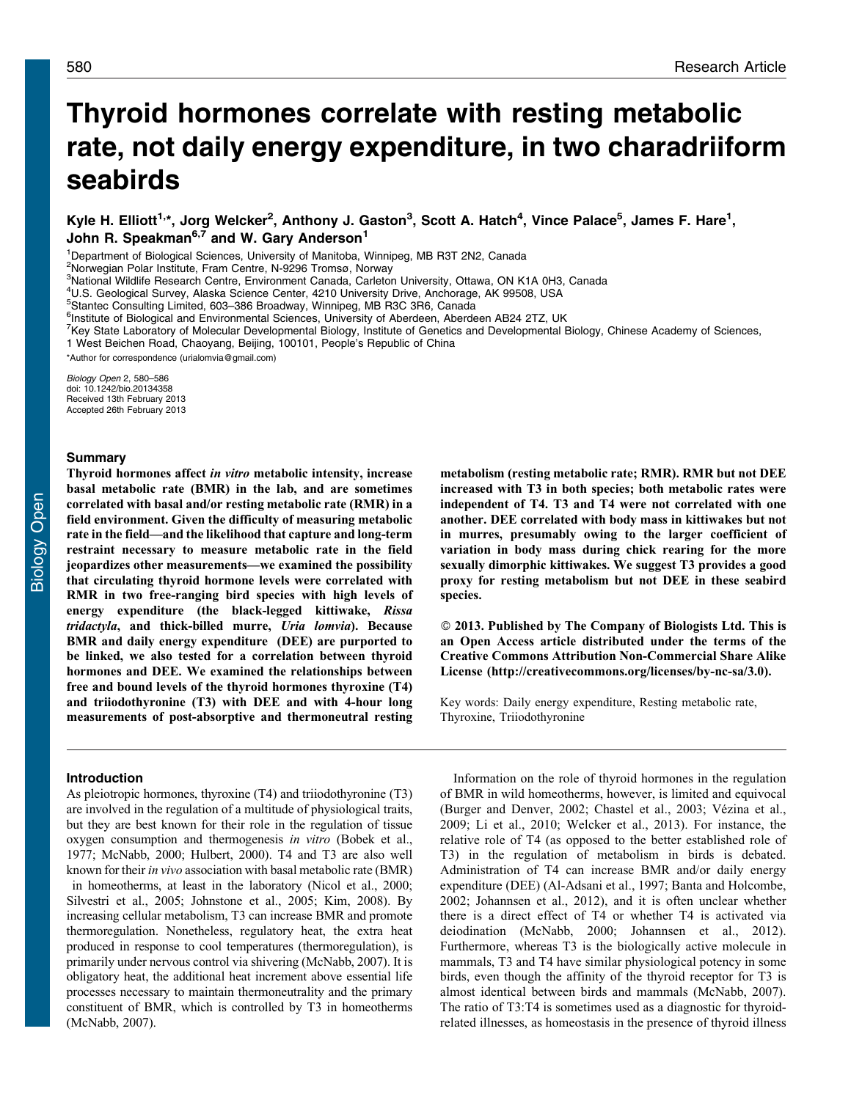# Thyroid hormones correlate with resting metabolic rate, not daily energy expenditure, in two charadriiform seabirds

Kyle H. Elliott<sup>1,</sup>\*, Jorg Welcker<sup>2</sup>, Anthony J. Gaston<sup>3</sup>, Scott A. Hatch<sup>4</sup>, Vince Palace<sup>5</sup>, James F. Hare<sup>1</sup>, John R. Speakman<sup>6,7</sup> and W. Gary Anderson<sup>1</sup>

<sup>1</sup>Department of Biological Sciences, University of Manitoba, Winnipeg, MB R3T 2N2, Canada

2 Norwegian Polar Institute, Fram Centre, N-9296 Tromsø, Norway

3 National Wildlife Research Centre, Environment Canada, Carleton University, Ottawa, ON K1A 0H3, Canada

4 U.S. Geological Survey, Alaska Science Center, 4210 University Drive, Anchorage, AK 99508, USA

5 Stantec Consulting Limited, 603–386 Broadway, Winnipeg, MB R3C 3R6, Canada

<sup>6</sup>Institute of Biological and Environmental Sciences, University of Aberdeen, Aberdeen AB24 2TZ, UK

<sup>7</sup>Key State Laboratory of Molecular Developmental Biology, Institute of Genetics and Developmental Biology, Chinese Academy of Sciences, 1 West Beichen Road, Chaoyang, Beijing, 100101, People's Republic of China

\*Author for correspondence ([urialomvia@gmail.com\)](mailto:urialomvia@gmail.com)

Biology Open 2, 580–586 doi: 10.1242/bio.20134358 Received 13th February 2013 Accepted 26th February 2013

## Summary

Thyroid hormones affect in vitro metabolic intensity, increase basal metabolic rate (BMR) in the lab, and are sometimes correlated with basal and/or resting metabolic rate (RMR) in a field environment. Given the difficulty of measuring metabolic rate in the field—and the likelihood that capture and long-term restraint necessary to measure metabolic rate in the field jeopardizes other measurements—we examined the possibility that circulating thyroid hormone levels were correlated with RMR in two free-ranging bird species with high levels of energy expenditure (the black-legged kittiwake, Rissa tridactyla, and thick-billed murre, Uria lomvia). Because BMR and daily energy expenditure (DEE) are purported to be linked, we also tested for a correlation between thyroid hormones and DEE. We examined the relationships between free and bound levels of the thyroid hormones thyroxine (T4) and triiodothyronine (T3) with DEE and with 4-hour long measurements of post-absorptive and thermoneutral resting

## Introduction

As pleiotropic hormones, thyroxine (T4) and triiodothyronine (T3) are involved in the regulation of a multitude of physiological traits, but they are best known for their role in the regulation of tissue oxygen consumption and thermogenesis in vitro [\(Bobek et al.,](#page-5-0) [1977](#page-5-0); [McNabb, 2000; Hulbert, 2000](#page-6-0)). T4 and T3 are also well known for their in vivo association with basal metabolic rate (BMR) in homeotherms, at least in the laboratory ([Nicol et al., 2000](#page-6-0); [Silvestri et al., 2005; Johnstone et al., 2005; Kim, 2008\)](#page-6-0). By increasing cellular metabolism, T3 can increase BMR and promote thermoregulation. Nonetheless, regulatory heat, the extra heat produced in response to cool temperatures (thermoregulation), is primarily under nervous control via shivering [\(McNabb, 2007\)](#page-6-0). It is obligatory heat, the additional heat increment above essential life processes necessary to maintain thermoneutrality and the primary constituent of BMR, which is controlled by T3 in homeotherms ([McNabb, 2007](#page-6-0)).

metabolism (resting metabolic rate; RMR). RMR but not DEE increased with T3 in both species; both metabolic rates were independent of T4. T3 and T4 were not correlated with one another. DEE correlated with body mass in kittiwakes but not in murres, presumably owing to the larger coefficient of variation in body mass during chick rearing for the more sexually dimorphic kittiwakes. We suggest T3 provides a good proxy for resting metabolism but not DEE in these seabird species.

- 2013. Published by The Company of Biologists Ltd. This is an Open Access article distributed under the terms of the Creative Commons Attribution Non-Commercial Share Alike License ([http://creativecommons.org/licenses/by-nc-sa/3.0\)](http://creativecommons.org/licenses/by-nc-sa/3.0).

Key words: Daily energy expenditure, Resting metabolic rate, Thyroxine, Triiodothyronine

Information on the role of thyroid hormones in the regulation of BMR in wild homeotherms, however, is limited and equivocal ([Burger and Denver, 2002](#page-5-0); [Chastel et al., 2003;](#page-5-0) Vézina et al., [2009; Li et al., 2010; Welcker et al., 2013\)](#page-6-0). For instance, the relative role of T4 (as opposed to the better established role of T3) in the regulation of metabolism in birds is debated. Administration of T4 can increase BMR and/or daily energy expenditure (DEE) [\(Al-Adsani et al., 1997](#page-5-0); [Banta and Holcombe,](#page-5-0) [2002;](#page-5-0) [Johannsen et al., 2012\)](#page-6-0), and it is often unclear whether there is a direct effect of T4 or whether T4 is activated via deiodination [\(McNabb, 2000; Johannsen et al., 2012](#page-6-0)). Furthermore, whereas T3 is the biologically active molecule in mammals, T3 and T4 have similar physiological potency in some birds, even though the affinity of the thyroid receptor for T3 is almost identical between birds and mammals [\(McNabb, 2007](#page-6-0)). The ratio of T3:T4 is sometimes used as a diagnostic for thyroidrelated illnesses, as homeostasis in the presence of thyroid illness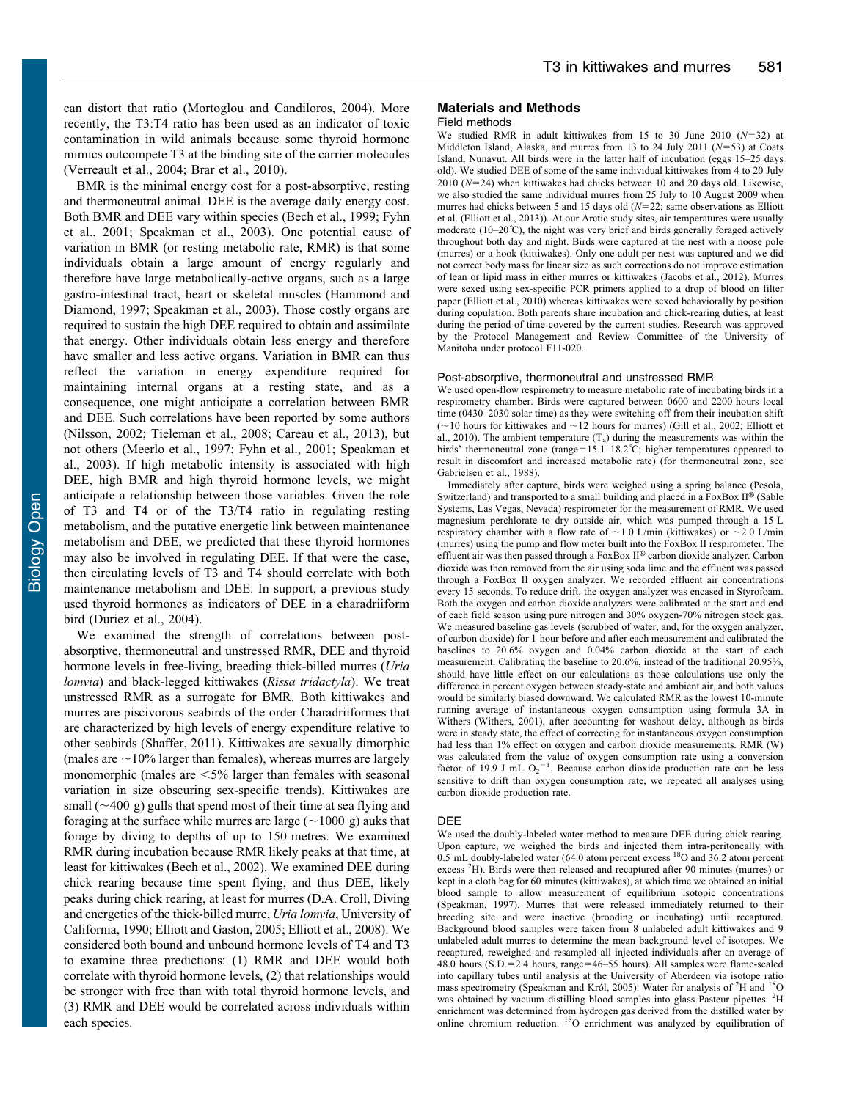can distort that ratio ([Mortoglou and Candiloros, 2004\)](#page-6-0). More recently, the T3:T4 ratio has been used as an indicator of toxic contamination in wild animals because some thyroid hormone mimics outcompete T3 at the binding site of the carrier molecules ([Verreault et al., 2004;](#page-6-0) [Brar et al., 2010](#page-5-0)).

BMR is the minimal energy cost for a post-absorptive, resting and thermoneutral animal. DEE is the average daily energy cost. Both BMR and DEE vary within species [\(Bech et al., 1999](#page-5-0); [Fyhn](#page-6-0) [et al., 2001; Speakman et al., 2003\)](#page-6-0). One potential cause of variation in BMR (or resting metabolic rate, RMR) is that some individuals obtain a large amount of energy regularly and therefore have large metabolically-active organs, such as a large gastro-intestinal tract, heart or skeletal muscles ([Hammond and](#page-6-0) [Diamond, 1997](#page-6-0); [Speakman et al., 2003\)](#page-6-0). Those costly organs are required to sustain the high DEE required to obtain and assimilate that energy. Other individuals obtain less energy and therefore have smaller and less active organs. Variation in BMR can thus reflect the variation in energy expenditure required for maintaining internal organs at a resting state, and as a consequence, one might anticipate a correlation between BMR and DEE. Such correlations have been reported by some authors ([Nilsson, 2002; Tieleman et al., 2008;](#page-6-0) [Careau et al., 2013\)](#page-5-0), but not others [\(Meerlo et al., 1997; Fyhn et al., 2001](#page-6-0); [Speakman et](#page-6-0) [al., 2003\)](#page-6-0). If high metabolic intensity is associated with high DEE, high BMR and high thyroid hormone levels, we might anticipate a relationship between those variables. Given the role of T3 and T4 or of the T3/T4 ratio in regulating resting metabolism, and the putative energetic link between maintenance metabolism and DEE, we predicted that these thyroid hormones may also be involved in regulating DEE. If that were the case, then circulating levels of T3 and T4 should correlate with both maintenance metabolism and DEE. In support, a previous study used thyroid hormones as indicators of DEE in a charadriiform bird [\(Duriez et al., 2004](#page-5-0)).

We examined the strength of correlations between postabsorptive, thermoneutral and unstressed RMR, DEE and thyroid hormone levels in free-living, breeding thick-billed murres (Uria lomvia) and black-legged kittiwakes (Rissa tridactyla). We treat unstressed RMR as a surrogate for BMR. Both kittiwakes and murres are piscivorous seabirds of the order Charadriiformes that are characterized by high levels of energy expenditure relative to other seabirds ([Shaffer, 2011](#page-6-0)). Kittiwakes are sexually dimorphic (males are  $\sim$ 10% larger than females), whereas murres are largely monomorphic (males are  $\leq 5\%$  larger than females with seasonal variation in size obscuring sex-specific trends). Kittiwakes are small  $({\sim}400 \text{ g})$  gulls that spend most of their time at sea flying and foraging at the surface while murres are large  $(\sim 1000 \text{ g})$  auks that forage by diving to depths of up to 150 metres. We examined RMR during incubation because RMR likely peaks at that time, at least for kittiwakes [\(Bech et al., 2002](#page-5-0)). We examined DEE during chick rearing because time spent flying, and thus DEE, likely peaks during chick rearing, at least for murres (D.A. Croll, Diving and energetics of the thick-billed murre, Uria lomvia, University of California, 1990; [Elliott and Gaston, 2005; Elliott et al., 2008](#page-5-0)). We considered both bound and unbound hormone levels of T4 and T3 to examine three predictions: (1) RMR and DEE would both correlate with thyroid hormone levels, (2) that relationships would be stronger with free than with total thyroid hormone levels, and (3) RMR and DEE would be correlated across individuals within each species.

## Materials and Methods

## Field methods

We studied RMR in adult kittiwakes from 15 to 30 June 2010 ( $N=32$ ) at Middleton Island, Alaska, and murres from 13 to 24 July 2011 ( $N=53$ ) at Coats Island, Nunavut. All birds were in the latter half of incubation (eggs 15–25 days old). We studied DEE of some of the same individual kittiwakes from 4 to 20 July  $2010$  ( $N=24$ ) when kittiwakes had chicks between 10 and 20 days old. Likewise, we also studied the same individual murres from 25 July to 10 August 2009 when murres had chicks between 5 and 15 days old  $(N=22)$ ; same observations as Elliott et al. [\(Elliott et al., 2013\)](#page-5-0)). At our Arctic study sites, air temperatures were usually moderate (10–20°C), the night was very brief and birds generally foraged actively throughout both day and night. Birds were captured at the nest with a noose pole (murres) or a hook (kittiwakes). Only one adult per nest was captured and we did not correct body mass for linear size as such corrections do not improve estimation of lean or lipid mass in either murres or kittiwakes ([Jacobs et al., 2012](#page-6-0)). Murres were sexed using sex-specific PCR primers applied to a drop of blood on filter paper [\(Elliott et al., 2010\)](#page-5-0) whereas kittiwakes were sexed behaviorally by position during copulation. Both parents share incubation and chick-rearing duties, at least during the period of time covered by the current studies. Research was approved by the Protocol Management and Review Committee of the University of Manitoba under protocol F11-020.

#### Post-absorptive, thermoneutral and unstressed RMR

We used open-flow respirometry to measure metabolic rate of incubating birds in a respirometry chamber. Birds were captured between 0600 and 2200 hours local time (0430–2030 solar time) as they were switching off from their incubation shift ( $\sim$ 10 hours for kittiwakes and  $\sim$ 12 hours for murres) [\(Gill et al., 2002;](#page-6-0) [Elliott et](#page-5-0) [al., 2010](#page-5-0)). The ambient temperature  $(T_a)$  during the measurements was within the birds' thermoneutral zone (range=15.1–18.2°C; higher temperatures appeared to result in discomfort and increased metabolic rate) (for thermoneutral zone, see [Gabrielsen et al., 1988](#page-6-0)).

Immediately after capture, birds were weighed using a spring balance (Pesola, Switzerland) and transported to a small building and placed in a FoxBox  $II^{\circledast}$  (Sable Systems, Las Vegas, Nevada) respirometer for the measurement of RMR. We used magnesium perchlorate to dry outside air, which was pumped through a 15 L respiratory chamber with a flow rate of  $\sim$  1.0 L/min (kittiwakes) or  $\sim$  2.0 L/min (murres) using the pump and flow meter built into the FoxBox II respirometer. The effluent air was then passed through a FoxBox II® carbon dioxide analyzer. Carbon dioxide was then removed from the air using soda lime and the effluent was passed through a FoxBox II oxygen analyzer. We recorded effluent air concentrations every 15 seconds. To reduce drift, the oxygen analyzer was encased in Styrofoam. Both the oxygen and carbon dioxide analyzers were calibrated at the start and end of each field season using pure nitrogen and 30% oxygen-70% nitrogen stock gas. We measured baseline gas levels (scrubbed of water, and, for the oxygen analyzer, of carbon dioxide) for 1 hour before and after each measurement and calibrated the baselines to 20.6% oxygen and 0.04% carbon dioxide at the start of each measurement. Calibrating the baseline to 20.6%, instead of the traditional 20.95%, should have little effect on our calculations as those calculations use only the difference in percent oxygen between steady-state and ambient air, and both values would be similarly biased downward. We calculated RMR as the lowest 10-minute running average of instantaneous oxygen consumption using formula 3A in Withers [\(Withers, 2001](#page-6-0)), after accounting for washout delay, although as birds were in steady state, the effect of correcting for instantaneous oxygen consumption had less than 1% effect on oxygen and carbon dioxide measurements. RMR (W) was calculated from the value of oxygen consumption rate using a conversion factor of 19.9 J mL  $O_2^{-1}$ . Because carbon dioxide production rate can be less sensitive to drift than oxygen consumption rate, we repeated all analyses using carbon dioxide production rate.

### DEE

We used the doubly-labeled water method to measure DEE during chick rearing. Upon capture, we weighed the birds and injected them intra-peritoneally with  $0.5$  mL doubly-labeled water (64.0 atom percent excess  $^{18}$ O and  $36.2$  atom percent excess <sup>2</sup>H). Birds were then released and recaptured after 90 minutes (murres) or kept in a cloth bag for 60 minutes (kittiwakes), at which time we obtained an initial blood sample to allow measurement of equilibrium isotopic concentrations [\(Speakman, 1997\)](#page-6-0). Murres that were released immediately returned to their breeding site and were inactive (brooding or incubating) until recaptured. Background blood samples were taken from 8 unlabeled adult kittiwakes and 9 unlabeled adult murres to determine the mean background level of isotopes. We recaptured, reweighed and resampled all injected individuals after an average of 48.0 hours (S.D. $=$ 2.4 hours, range $=$ 46–55 hours). All samples were flame-sealed into capillary tubes until analysis at the University of Aberdeen via isotope ratio mass spectrometry (Speakman and Król, 2005). Water for analysis of <sup>2</sup>H and <sup>18</sup>O was obtained by vacuum distilling blood samples into glass Pasteur pipettes. <sup>2</sup>H enrichment was determined from hydrogen gas derived from the distilled water by online chromium reduction. 18O enrichment was analyzed by equilibration of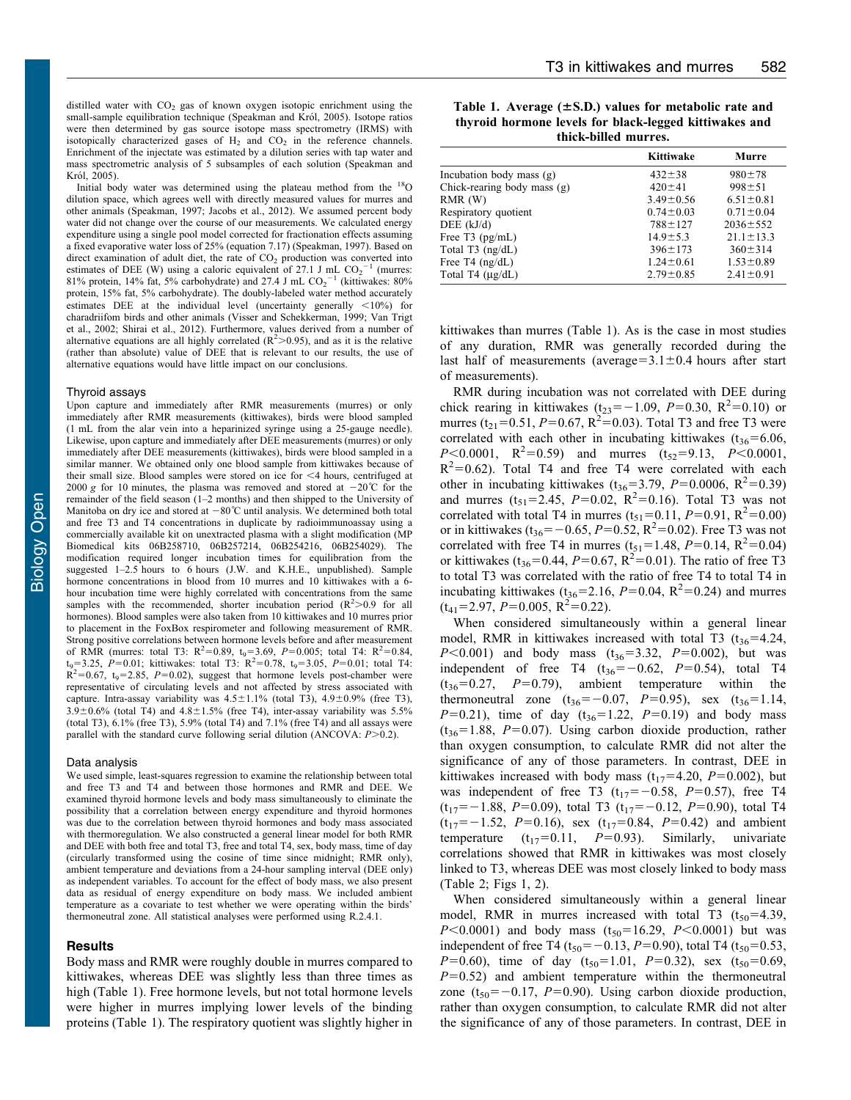Król, 2005). Initial body water was determined using the plateau method from the  $^{18}$ O dilution space, which agrees well with directly measured values for murres and other animals ([Speakman, 1997](#page-6-0); [Jacobs et al., 2012](#page-6-0)). We assumed percent body water did not change over the course of our measurements. We calculated energy expenditure using a single pool model corrected for fractionation effects assuming a fixed evaporative water loss of 25% (equation 7.17) [\(Speakman, 1997\)](#page-6-0). Based on direct examination of adult diet, the rate of  $CO<sub>2</sub>$  production was converted into estimates of DEE (W) using a caloric equivalent of 27.1 J mL  $CO_2^{-1}$  (murres: 81% protein, 14% fat, 5% carbohydrate) and 27.4 J mL  $CO_2^{-1}$  (kittiwakes: 80% protein, 15% fat, 5% carbohydrate). The doubly-labeled water method accurately estimates DEE at the individual level (uncertainty generally  $\langle 10\% \rangle$  for charadriifom birds and other animals ([Visser and Schekkerman, 1999](#page-6-0); [Van Trigt](#page-6-0) [et al., 2002](#page-6-0); [Shirai et al., 2012](#page-6-0)). Furthermore, values derived from a number of alternative equations are all highly correlated  $(R^2>0.95)$ , and as it is the relative (rather than absolute) value of DEE that is relevant to our results, the use of alternative equations would have little impact on our conclusions.

#### Thyroid assays

Upon capture and immediately after RMR measurements (murres) or only immediately after RMR measurements (kittiwakes), birds were blood sampled (1 mL from the alar vein into a heparinized syringe using a 25-gauge needle). Likewise, upon capture and immediately after DEE measurements (murres) or only immediately after DEE measurements (kittiwakes), birds were blood sampled in a similar manner. We obtained only one blood sample from kittiwakes because of their small size. Blood samples were stored on ice for  $\leq 4$  hours, centrifuged at 2000 g for 10 minutes, the plasma was removed and stored at  $-20^{\circ}$ C for the remainder of the field season (1–2 months) and then shipped to the University of Manitoba on dry ice and stored at  $-80^{\circ}\text{C}$  until analysis. We determined both total and free T3 and T4 concentrations in duplicate by radioimmunoassay using a commercially available kit on unextracted plasma with a slight modification (MP Biomedical kits 06B258710, 06B257214, 06B254216, 06B254029). The modification required longer incubation times for equilibration from the suggested 1–2.5 hours to 6 hours (J.W. and K.H.E., unpublished). Sample hormone concentrations in blood from 10 murres and 10 kittiwakes with a 6 hour incubation time were highly correlated with concentrations from the same samples with the recommended, shorter incubation period  $(R^2>0.9$  for all hormones). Blood samples were also taken from 10 kittiwakes and 10 murres prior to placement in the FoxBox respirometer and following measurement of RMR. Strong positive correlations between hormone levels before and after measurement of RMR (murres: total T3:  $R^2 = 0.89$ ,  $t_9 = 3.69$ ,  $P = 0.005$ ; total T4:  $R^2 = 0.84$ ,  $t_9 = 3.25$ ,  $P = 0.01$ ; kittiwakes: total T3:  $R^2 = 0.78$ ,  $t_9 = 3.05$ ,  $P = 0.01$ ; total T4:  $R^2$ =0.67, t<sub>9</sub>=2.85, P=0.02), suggest that hormone levels post-chamber were representative of circulating levels and not affected by stress associated with capture. Intra-assay variability was  $4.5 \pm 1.1\%$  (total T3),  $4.9 \pm 0.9\%$  (free T3),  $3.9\pm0.6\%$  (total T4) and  $4.8\pm1.5\%$  (free T4), inter-assay variability was 5.5% (total T3),  $6.1\%$  (free T3),  $5.9\%$  (total T4) and  $7.1\%$  (free T4) and all assays were parallel with the standard curve following serial dilution (ANCOVA:  $P > 0.2$ ).

#### Data analysis

We used simple, least-squares regression to examine the relationship between total and free T3 and T4 and between those hormones and RMR and DEE. We examined thyroid hormone levels and body mass simultaneously to eliminate the possibility that a correlation between energy expenditure and thyroid hormones was due to the correlation between thyroid hormones and body mass associated with thermoregulation. We also constructed a general linear model for both RMR and DEE with both free and total T3, free and total T4, sex, body mass, time of day (circularly transformed using the cosine of time since midnight; RMR only), ambient temperature and deviations from a 24-hour sampling interval (DEE only) as independent variables. To account for the effect of body mass, we also present data as residual of energy expenditure on body mass. We included ambient temperature as a covariate to test whether we were operating within the birds' thermoneutral zone. All statistical analyses were performed using R.2.4.1.

## **Results**

Body mass and RMR were roughly double in murres compared to kittiwakes, whereas DEE was slightly less than three times as high (Table 1). Free hormone levels, but not total hormone levels were higher in murres implying lower levels of the binding proteins (Table 1). The respiratory quotient was slightly higher in

|                      |  | Table 1. Average $(\pm S.D.)$ values for metabolic rate and |  |  |  |  |
|----------------------|--|-------------------------------------------------------------|--|--|--|--|
|                      |  | thyroid hormone levels for black-legged kittiwakes and      |  |  |  |  |
| thick-billed murres. |  |                                                             |  |  |  |  |

|                             | Kittiwake       | Murre           |
|-----------------------------|-----------------|-----------------|
| Incubation body mass $(g)$  | $432 \pm 38$    | $980 \pm 78$    |
| Chick-rearing body mass (g) | $420 \pm 41$    | $998 \pm 51$    |
| RMR(W)                      | $3.49 \pm 0.56$ | $6.51 \pm 0.81$ |
| Respiratory quotient        | $0.74 \pm 0.03$ | $0.71 \pm 0.04$ |
| DEE $(kJ/d)$                | $788 \pm 127$   | $2036 \pm 552$  |
| Free T3 $(pg/mL)$           | $14.9 \pm 5.3$  | $21.1 \pm 13.3$ |
| Total T3 $(ng/dL)$          | $396 \pm 173$   | $360 \pm 314$   |
| Free T4 $(ng/dL)$           | $1.24 \pm 0.61$ | $1.53 \pm 0.89$ |
| Total T4 $(\mu g/dL)$       | $2.79 \pm 0.85$ | $2.41 \pm 0.91$ |
|                             |                 |                 |

kittiwakes than murres (Table 1). As is the case in most studies of any duration, RMR was generally recorded during the last half of measurements (average= $3.1\pm0.4$  hours after start of measurements).

RMR during incubation was not correlated with DEE during chick rearing in kittiwakes ( $t_{23} = -1.09$ ,  $P=0.30$ ,  $R^2=0.10$ ) or murres ( $t_{21}$ =0.51, P=0.67, R<sup>2</sup>=0.03). Total T3 and free T3 were correlated with each other in incubating kittiwakes  $(t_{36}=6.06,$  $P \le 0.0001$ ,  $R^2 = 0.59$ ) and murres  $(t_{52} = 9.13, P \le 0.0001,$  $R^2$ =0.62). Total T4 and free T4 were correlated with each other in incubating kittiwakes ( $t_{36} = 3.79$ ,  $P = 0.0006$ ,  $R^2 = 0.39$ ) and murres  $(t_{51} = 2.45, P = 0.02, R^2 = 0.16)$ . Total T3 was not correlated with total T4 in murres  $(t_{51} = 0.11, P = 0.91, R^2 = 0.00)$ or in kittiwakes ( $t_{36} = -0.65$ ,  $P = 0.52$ ,  $R^2 = 0.02$ ). Free T3 was not correlated with free T4 in murres ( $t_{51}$ =1.48,  $P$ =0.14, R<sup>2</sup>=0.04) or kittiwakes (t<sub>36</sub>=0.44, P=0.67, R<sup>2</sup>=0.01). The ratio of free T3 to total T3 was correlated with the ratio of free T4 to total T4 in incubating kittiwakes ( $t_{36}$ =2.16, P=0.04, R<sup>2</sup>=0.24) and murres  $(t_{41} = 2.97, P = 0.005, R^2 = 0.22).$ 

When considered simultaneously within a general linear model, RMR in kittiwakes increased with total T3  $(t_{36} = 4.24,$  $P<0.001$ ) and body mass (t<sub>36</sub>=3.32, P=0.002), but was independent of free T4  $(t_{36}=-0.62, P=0.54)$ , total T4  $(t_{36}=0.27, P=0.79)$ , ambient temperature within the thermoneutral zone  $(t_{36}=-0.07, P=0.95)$ , sex  $(t_{36}=1.14,$  $P=0.21$ ), time of day (t<sub>36</sub>=1.22,  $P=0.19$ ) and body mass  $(t_{36}=1.88, P=0.07)$ . Using carbon dioxide production, rather than oxygen consumption, to calculate RMR did not alter the significance of any of those parameters. In contrast, DEE in kittiwakes increased with body mass  $(t_{17}=4.20, P=0.002)$ , but was independent of free T3  $(t_{17}=-0.58, P=0.57)$ , free T4  $(t_{17}=-1.88, P=0.09)$ , total T3  $(t_{17}=-0.12, P=0.90)$ , total T4  $(t_{17}=-1.52, P=0.16)$ , sex  $(t_{17}=0.84, P=0.42)$  and ambient temperature  $(t_{17}=0.11, P=0.93)$ . Similarly, univariate correlations showed that RMR in kittiwakes was most closely linked to T3, whereas DEE was most closely linked to body mass ([Table 2; Figs 1,](#page-3-0) [2\)](#page-4-0).

When considered simultaneously within a general linear model, RMR in murres increased with total T3  $(t_{50} = 4.39,$  $P<0.0001$ ) and body mass (t<sub>50</sub>=16.29, P<0.0001) but was independent of free T4 (t<sub>50</sub>=-0.13, P=0.90), total T4 (t<sub>50</sub>=0.53, P=0.60), time of day  $(t_{50} = 1.01, P=0.32)$ , sex  $(t_{50} = 0.69, P=0.60)$  $P=0.52$ ) and ambient temperature within the thermoneutral zone ( $t_{50}=-0.17$ ,  $P=0.90$ ). Using carbon dioxide production, rather than oxygen consumption, to calculate RMR did not alter the significance of any of those parameters. In contrast, DEE in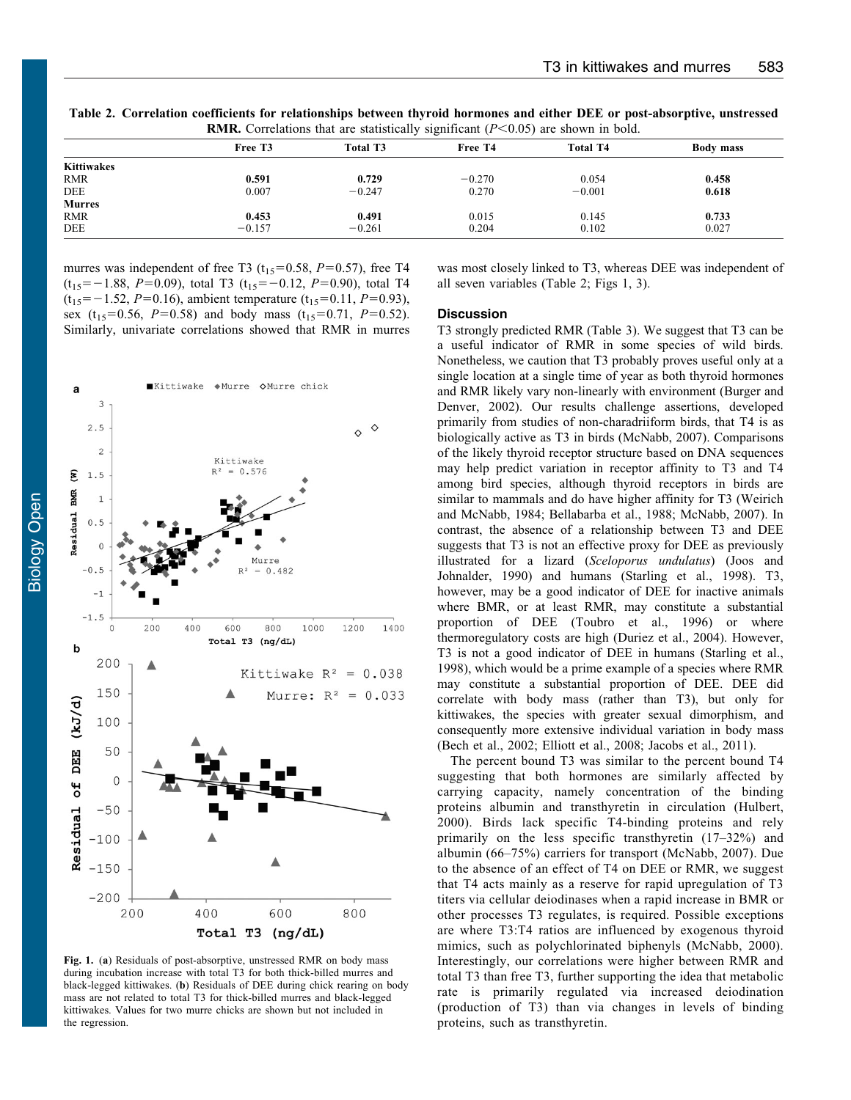|                   | Free T <sub>3</sub> | Total T3 | Free T4  | <b>Total T4</b> | Body mass |
|-------------------|---------------------|----------|----------|-----------------|-----------|
| <b>Kittiwakes</b> |                     |          |          |                 |           |
| <b>RMR</b>        | 0.591               | 0.729    | $-0.270$ | 0.054           | 0.458     |
| <b>DEE</b>        | 0.007               | $-0.247$ | 0.270    | $-0.001$        | 0.618     |
| <b>Murres</b>     |                     |          |          |                 |           |
| <b>RMR</b>        | 0.453               | 0.491    | 0.015    | 0.145           | 0.733     |
| <b>DEE</b>        | $-0.157$            | $-0.261$ | 0.204    | 0.102           | 0.027     |

<span id="page-3-0"></span>Table 2. Correlation coefficients for relationships between thyroid hormones and either DEE or post-absorptive, unstressed **RMR.** Correlations that are statistically significant  $(P<0.05)$  are shown in bold.

murres was independent of free T3 ( $t_{15}=0.58$ ,  $P=0.57$ ), free T4  $(t_{15}=-1.88, P=0.09)$ , total T3  $(t_{15}=-0.12, P=0.90)$ , total T4  $(t_{15}=-1.52, P=0.16)$ , ambient temperature  $(t_{15}=0.11, P=0.93)$ , sex (t<sub>15</sub>=0.56, P=0.58) and body mass (t<sub>15</sub>=0.71, P=0.52). Similarly, univariate correlations showed that RMR in murres



Fig. 1. (a) Residuals of post-absorptive, unstressed RMR on body mass during incubation increase with total T3 for both thick-billed murres and black-legged kittiwakes. (b) Residuals of DEE during chick rearing on body mass are not related to total T3 for thick-billed murres and black-legged kittiwakes. Values for two murre chicks are shown but not included in the regression.

was most closely linked to T3, whereas DEE was independent of all seven variables (Table 2; Figs 1, [3\)](#page-5-0).

## **Discussion**

T3 strongly predicted RMR ([Table 3](#page-4-0)). We suggest that T3 can be a useful indicator of RMR in some species of wild birds. Nonetheless, we caution that T3 probably proves useful only at a single location at a single time of year as both thyroid hormones and RMR likely vary non-linearly with environment [\(Burger and](#page-5-0) [Denver, 2002\)](#page-5-0). Our results challenge assertions, developed primarily from studies of non-charadriiform birds, that T4 is as biologically active as T3 in birds [\(McNabb, 2007\)](#page-6-0). Comparisons of the likely thyroid receptor structure based on DNA sequences may help predict variation in receptor affinity to T3 and T4 among bird species, although thyroid receptors in birds are similar to mammals and do have higher affinity for T3 [\(Weirich](#page-6-0) [and McNabb, 1984](#page-6-0); [Bellabarba et al., 1988;](#page-5-0) [McNabb, 2007](#page-6-0)). In contrast, the absence of a relationship between T3 and DEE suggests that T3 is not an effective proxy for DEE as previously illustrated for a lizard (Sceloporus undulatus) ([Joos and](#page-6-0) [Johnalder, 1990\)](#page-6-0) and humans [\(Starling et al., 1998\)](#page-6-0). T3, however, may be a good indicator of DEE for inactive animals where BMR, or at least RMR, may constitute a substantial proportion of DEE [\(Toubro et al., 1996\)](#page-6-0) or where thermoregulatory costs are high ([Duriez et al., 2004\)](#page-5-0). However, T3 is not a good indicator of DEE in humans [\(Starling et al.,](#page-6-0) [1998\)](#page-6-0), which would be a prime example of a species where RMR may constitute a substantial proportion of DEE. DEE did correlate with body mass (rather than T3), but only for kittiwakes, the species with greater sexual dimorphism, and consequently more extensive individual variation in body mass ([Bech et al., 2002](#page-5-0); [Elliott et al., 2008;](#page-5-0) [Jacobs et al., 2011\)](#page-6-0).

The percent bound T3 was similar to the percent bound T4 suggesting that both hormones are similarly affected by carrying capacity, namely concentration of the binding proteins albumin and transthyretin in circulation ([Hulbert,](#page-6-0) [2000](#page-6-0)). Birds lack specific T4-binding proteins and rely primarily on the less specific transthyretin (17–32%) and albumin (66–75%) carriers for transport ([McNabb, 2007](#page-6-0)). Due to the absence of an effect of T4 on DEE or RMR, we suggest that T4 acts mainly as a reserve for rapid upregulation of T3 titers via cellular deiodinases when a rapid increase in BMR or other processes T3 regulates, is required. Possible exceptions are where T3:T4 ratios are influenced by exogenous thyroid mimics, such as polychlorinated biphenyls ([McNabb, 2000](#page-6-0)). Interestingly, our correlations were higher between RMR and total T3 than free T3, further supporting the idea that metabolic rate is primarily regulated via increased deiodination (production of T3) than via changes in levels of binding proteins, such as transthyretin.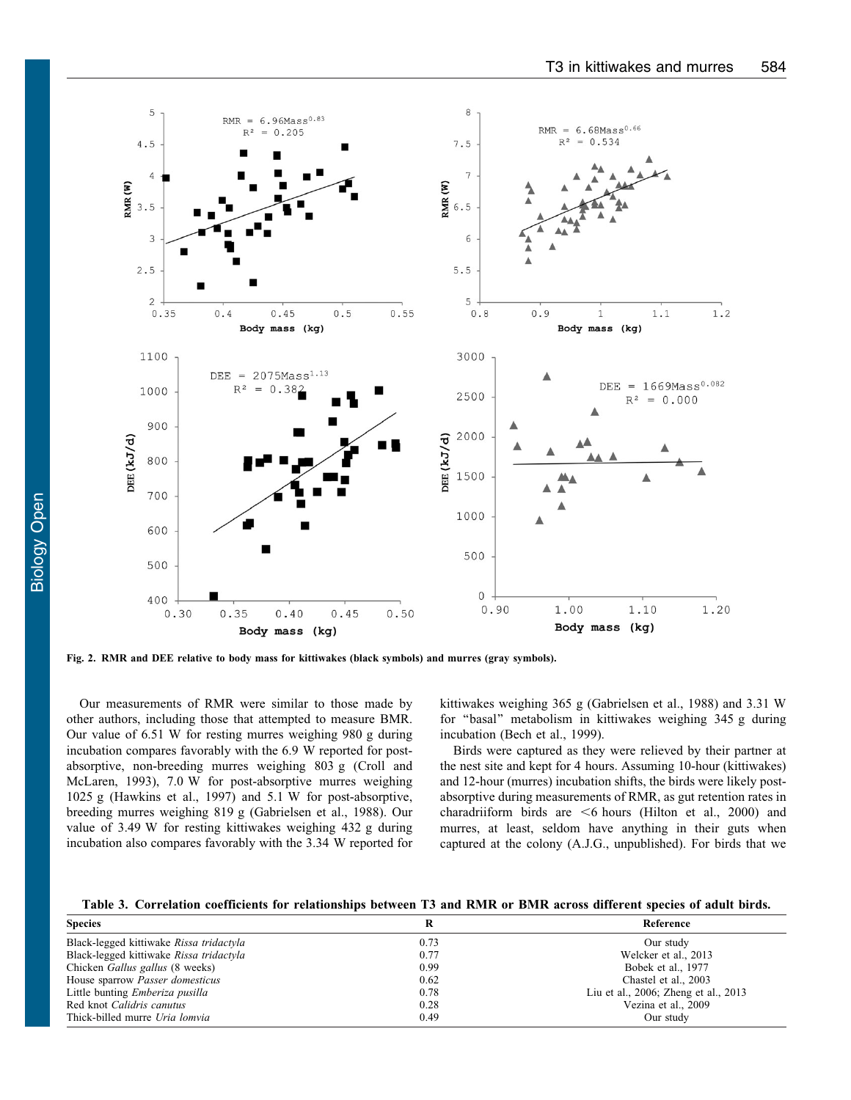<span id="page-4-0"></span>

Fig. 2. RMR and DEE relative to body mass for kittiwakes (black symbols) and murres (gray symbols).

Our measurements of RMR were similar to those made by other authors, including those that attempted to measure BMR. Our value of 6.51 W for resting murres weighing 980 g during incubation compares favorably with the 6.9 W reported for postabsorptive, non-breeding murres weighing 803 g (Croll and McLaren, 1993), 7.0 W for post-absorptive murres weighing 1025 g [\(Hawkins et al., 1997\)](#page-6-0) and 5.1 W for post-absorptive, breeding murres weighing 819 g ([Gabrielsen et al., 1988\)](#page-6-0). Our value of 3.49 W for resting kittiwakes weighing 432 g during incubation also compares favorably with the 3.34 W reported for kittiwakes weighing 365 g ([Gabrielsen et al., 1988\)](#page-6-0) and 3.31 W for ''basal'' metabolism in kittiwakes weighing 345 g during incubation [\(Bech et al., 1999\)](#page-5-0).

Birds were captured as they were relieved by their partner at the nest site and kept for 4 hours. Assuming 10-hour (kittiwakes) and 12-hour (murres) incubation shifts, the birds were likely postabsorptive during measurements of RMR, as gut retention rates in charadriiform birds are  $<6$  hours [\(Hilton et al., 2000](#page-6-0)) and murres, at least, seldom have anything in their guts when captured at the colony (A.J.G., unpublished). For birds that we

Table 3. Correlation coefficients for relationships between T3 and RMR or BMR across different species of adult birds.

| <b>Species</b>                          |      | Reference                            |
|-----------------------------------------|------|--------------------------------------|
| Black-legged kittiwake Rissa tridactyla | 0.73 | Our study                            |
| Black-legged kittiwake Rissa tridactyla | 0.77 | Welcker et al., 2013                 |
| Chicken <i>Gallus gallus</i> (8 weeks)  | 0.99 | Bobek et al., 1977                   |
| House sparrow <i>Passer domesticus</i>  | 0.62 | Chastel et al., 2003                 |
| Little bunting <i>Emberiza pusilla</i>  | 0.78 | Liu et al., 2006; Zheng et al., 2013 |
| Red knot Calidris canutus               | 0.28 | Vezina et al., 2009                  |
| Thick-billed murre Uria lomvia          | 0.49 | Our study                            |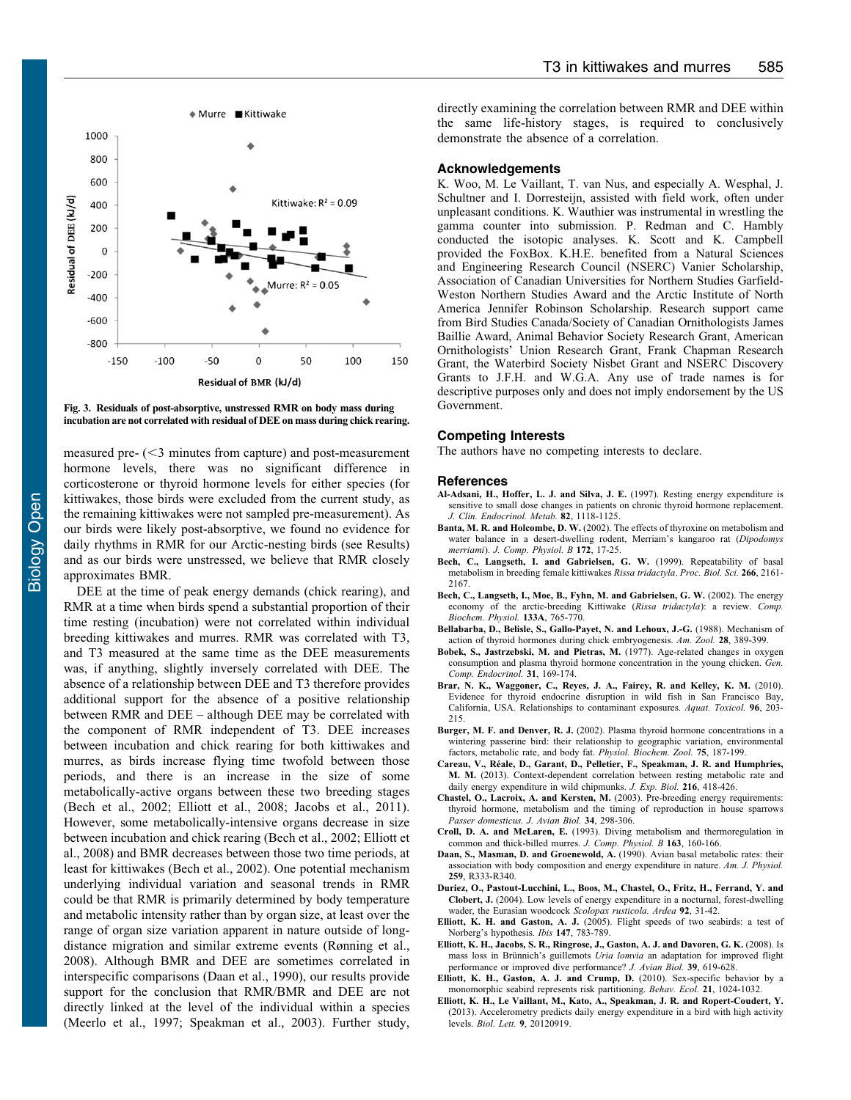<span id="page-5-0"></span>



measured pre- $\approx$  minutes from capture) and post-measurement hormone levels, there was no significant difference in corticosterone or thyroid hormone levels for either species (for kittiwakes, those birds were excluded from the current study, as the remaining kittiwakes were not sampled pre-measurement). As our birds were likely post-absorptive, we found no evidence for daily rhythms in RMR for our Arctic-nesting birds (see Results) and as our birds were unstressed, we believe that RMR closely approximates BMR.

DEE at the time of peak energy demands (chick rearing), and RMR at a time when birds spend a substantial proportion of their time resting (incubation) were not correlated within individual breeding kittiwakes and murres. RMR was correlated with T3, and T3 measured at the same time as the DEE measurements was, if anything, slightly inversely correlated with DEE. The absence of a relationship between DEE and T3 therefore provides additional support for the absence of a positive relationship between RMR and DEE – although DEE may be correlated with the component of RMR independent of T3. DEE increases between incubation and chick rearing for both kittiwakes and murres, as birds increase flying time twofold between those periods, and there is an increase in the size of some metabolically-active organs between these two breeding stages (Bech et al., 2002; Elliott et al., 2008; [Jacobs et al., 2011](#page-6-0)). However, some metabolically-intensive organs decrease in size between incubation and chick rearing (Bech et al., 2002; Elliott et al., 2008) and BMR decreases between those two time periods, at least for kittiwakes (Bech et al., 2002). One potential mechanism underlying individual variation and seasonal trends in RMR could be that RMR is primarily determined by body temperature and metabolic intensity rather than by organ size, at least over the range of organ size variation apparent in nature outside of longdistance migration and similar extreme events ([Rønning et al.,](#page-6-0) [2008\)](#page-6-0). Although BMR and DEE are sometimes correlated in interspecific comparisons (Daan et al., 1990), our results provide support for the conclusion that RMR/BMR and DEE are not directly linked at the level of the individual within a species ([Meerlo et al., 1997; Speakman et al., 2003\)](#page-6-0). Further study,

directly examining the correlation between RMR and DEE within the same life-history stages, is required to conclusively demonstrate the absence of a correlation.

## Acknowledgements

K. Woo, M. Le Vaillant, T. van Nus, and especially A. Wesphal, J. Schultner and I. Dorresteijn, assisted with field work, often under unpleasant conditions. K. Wauthier was instrumental in wrestling the gamma counter into submission. P. Redman and C. Hambly conducted the isotopic analyses. K. Scott and K. Campbell provided the FoxBox. K.H.E. benefited from a Natural Sciences and Engineering Research Council (NSERC) Vanier Scholarship, Association of Canadian Universities for Northern Studies Garfield-Weston Northern Studies Award and the Arctic Institute of North America Jennifer Robinson Scholarship. Research support came from Bird Studies Canada/Society of Canadian Ornithologists James Baillie Award, Animal Behavior Society Research Grant, American Ornithologists' Union Research Grant, Frank Chapman Research Grant, the Waterbird Society Nisbet Grant and NSERC Discovery Grants to J.F.H. and W.G.A. Any use of trade names is for descriptive purposes only and does not imply endorsement by the US Government.

## Competing Interests

The authors have no competing interests to declare.

#### References

- [Al-Adsani, H., Hoffer, L. J. and Silva, J. E.](http://dx.doi.org/10.1210/jc.82.4.1118) (1997). Resting energy expenditure is [sensitive to small dose changes in patients on chronic thyroid hormone replacement.](http://dx.doi.org/10.1210/jc.82.4.1118) [J. Clin. Endocrinol. Metab.](http://dx.doi.org/10.1210/jc.82.4.1118) 82, 1118-1125.
- Banta, M. R. and Holcombe, D. W. [\(2002\). The effects of thyroxine on metabolism and](http://dx.doi.org/10.1007/s003600100222) [water balance in a desert-dwelling rodent, Merriam's kangaroo rat \(](http://dx.doi.org/10.1007/s003600100222)Dipodomys merriami). [J. Comp. Physiol. B](http://dx.doi.org/10.1007/s003600100222) 172, 17-25.
- [Bech, C., Langseth, I. and Gabrielsen, G. W.](http://dx.doi.org/10.1098/rspb.1999.0903) (1999). Repeatability of basal [metabolism in breeding female kittiwakes](http://dx.doi.org/10.1098/rspb.1999.0903) Rissa tridactyla. Proc. Biol. Sci. 266, 2161- [2167.](http://dx.doi.org/10.1098/rspb.1999.0903)
- [Bech, C., Langseth, I., Moe, B., Fyhn, M. and Gabrielsen, G. W.](http://dx.doi.org/10.1016/S1095-6433(02)00153-8) (2002). The energy [economy of the arctic-breeding Kittiwake \(](http://dx.doi.org/10.1016/S1095-6433(02)00153-8)Rissa tridactyla): a review. Comp. [Biochem. Physiol.](http://dx.doi.org/10.1016/S1095-6433(02)00153-8) 133A, 765-770.
- Bellabarba, D., Belisle, S., Gallo-Payet, N. and Lehoux, J.-G. (1988). Mechanism of action of thyroid hormones during chick embryogenesis. Am. Zool. 28, 389-399.
- [Bobek, S., Jastrzebski, M. and Pietras, M.](http://dx.doi.org/10.1016/0016-6480(77)90014-4) (1977). Age-related changes in oxygen [consumption and plasma thyroid hormone concentration in the young chicken.](http://dx.doi.org/10.1016/0016-6480(77)90014-4) Gen. [Comp. Endocrinol.](http://dx.doi.org/10.1016/0016-6480(77)90014-4) 31, 169-174.
- [Brar, N. K., Waggoner, C., Reyes, J. A., Fairey, R. and Kelley, K. M.](http://dx.doi.org/10.1016/j.aquatox.2009.10.023) (2010). [Evidence for thyroid endocrine disruption in wild fish in San Francisco Bay,](http://dx.doi.org/10.1016/j.aquatox.2009.10.023) [California, USA. Relationships to contaminant exposures.](http://dx.doi.org/10.1016/j.aquatox.2009.10.023) Aquat. Toxicol. 96, 203- [215.](http://dx.doi.org/10.1016/j.aquatox.2009.10.023)
- Burger, M. F. and Denver, R. J. [\(2002\). Plasma thyroid hormone concentrations in a](http://dx.doi.org/10.1086/338955) [wintering passerine bird: their relationship to geographic variation, environmental](http://dx.doi.org/10.1086/338955) [factors, metabolic rate, and body fat.](http://dx.doi.org/10.1086/338955) Physiol. Biochem. Zool. 75, 187-199.
- Careau, V., Réale, D., Garant, D., Pelletier, F., Speakman, J. R. and Humphries, M. M. [\(2013\). Context-dependent correlation between resting metabolic rate and](http://dx.doi.org/10.1242/jeb.076794) [daily energy expenditure in wild chipmunks.](http://dx.doi.org/10.1242/jeb.076794) J. Exp. Biol. 216, 418-426.
- [Chastel, O., Lacroix, A. and Kersten, M.](http://dx.doi.org/10.1034/j.1600-048X.2003.02528.x) (2003). Pre-breeding energy requirements: [thyroid hormone, metabolism and the timing of reproduction in house sparrows](http://dx.doi.org/10.1034/j.1600-048X.2003.02528.x) [Passer domesticus. J. Avian Biol.](http://dx.doi.org/10.1034/j.1600-048X.2003.02528.x) 34, 298-306.
- Croll, D. A. and McLaren, E. (1993). Diving metabolism and thermoregulation in common and thick-billed murres. J. Comp. Physiol. B 163, 160-166.
- Daan, S., Masman, D. and Groenewold, A. (1990). Avian basal metabolic rates: their association with body composition and energy expenditure in nature. Am. J. Physiol. 259, R333-R340.
- Duriez, O., Pastout-Lucchini, L., Boos, M., Chastel, O., Fritz, H., Ferrand, Y. and Clobert, J. (2004). Low levels of energy expenditure in a nocturnal, forest-dwelling wader, the Eurasian woodcock *Scolopax rusticola. Ardea* **92**, 31-42.
- Elliott, K. H. and Gaston, A. J. [\(2005\). Flight speeds of two seabirds: a test of](http://dx.doi.org/10.1111/j.1474.2005.00462.x) [Norberg's hypothesis.](http://dx.doi.org/10.1111/j.1474.2005.00462.x) Ibis 147, 783-789.
- [Elliott, K. H., Jacobs, S. R., Ringrose, J., Gaston, A. J. and Davoren, G. K.](http://dx.doi.org/10.1111/j.1600-048X.2008.04316.x) (2008). Is mass loss in Brünnich's guillemots Uria lomvia an adaptation for improved flight [performance or improved dive performance?](http://dx.doi.org/10.1111/j.1600-048X.2008.04316.x) J. Avian Biol. 39, 619-628.
- [Elliott, K. H., Gaston, A. J. and Crump, D.](http://dx.doi.org/10.1093/beheco/arq076) (2010). Sex-specific behavior by a [monomorphic seabird represents risk partitioning.](http://dx.doi.org/10.1093/beheco/arq076) Behav. Ecol. 21, 1024-1032.
- [Elliott, K. H., Le Vaillant, M., Kato, A., Speakman, J. R. and Ropert-Coudert, Y.](http://dx.doi.org/10.1098/rsbl.2012.0919) [\(2013\). Accelerometry predicts daily energy expenditure in a bird with high activity](http://dx.doi.org/10.1098/rsbl.2012.0919) levels. Biol. Lett. 9[, 20120919.](http://dx.doi.org/10.1098/rsbl.2012.0919)